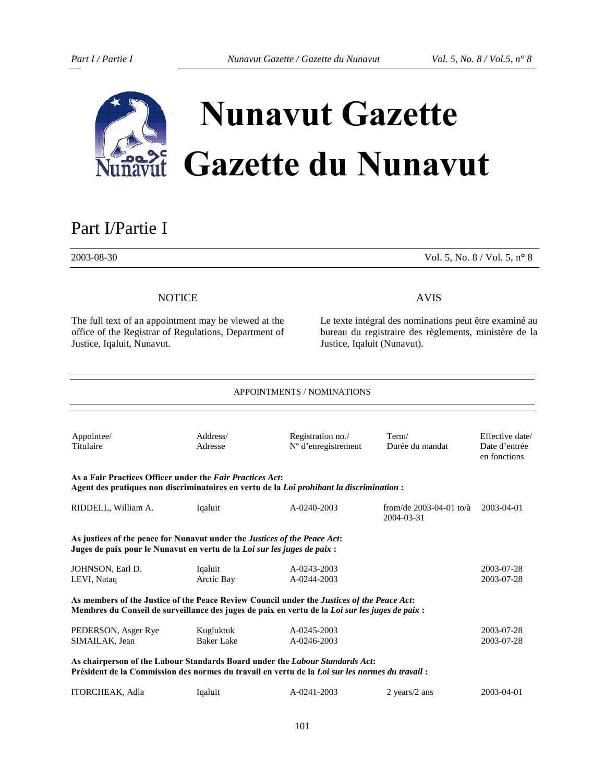

# **Nunavut Gazette Gazette du Nunavut**

# Part I/Partie <sup>I</sup>

2003-08-30 Vol. 5, No. 8 / Vol. 5, n**°** 8

# **NOTICE**

The full text of an appointment may be viewed at the office of the Registrar of Regulations, Department of Justice, Iqaluit, Nunavut.

# AVIS

Le texte intégral des nominations peut être examiné au bureau du registraire des règlements, ministère de la Justice, Iqaluit (Nunavut).

| <b>APPOINTMENTS / NOMINATIONS</b>                                                                                                                             |                         |                                                                                                                                                                                               |                                             |                                                  |  |
|---------------------------------------------------------------------------------------------------------------------------------------------------------------|-------------------------|-----------------------------------------------------------------------------------------------------------------------------------------------------------------------------------------------|---------------------------------------------|--------------------------------------------------|--|
| Appointee/<br>Titulaire                                                                                                                                       | Address/<br>Adresse     | Registration no./<br>$No$ d'enregistrement                                                                                                                                                    | Term/<br>Durée du mandat                    | Effective date/<br>Date d'entrée<br>en fonctions |  |
| As a Fair Practices Officer under the Fair Practices Act:                                                                                                     |                         | Agent des pratiques non discriminatoires en vertu de la Loi prohibant la discrimination :                                                                                                     |                                             |                                                  |  |
| RIDDELL, William A.                                                                                                                                           | Iqaluit                 | $A - 0240 - 2003$                                                                                                                                                                             | from/de $2003 - 04 - 01$ to/à<br>2004-03-31 | 2003-04-01                                       |  |
| As justices of the peace for Nunavut under the <i>Justices of the Peace Act</i> :<br>Juges de paix pour le Nunavut en vertu de la Loi sur les juges de paix : |                         |                                                                                                                                                                                               |                                             |                                                  |  |
| JOHNSON, Earl D.<br>LEVI, Nataq                                                                                                                               | Iqaluit<br>Arctic Bay   | A-0243-2003<br>A-0244-2003                                                                                                                                                                    |                                             | 2003-07-28<br>2003-07-28                         |  |
|                                                                                                                                                               |                         | As members of the Justice of the Peace Review Council under the Justices of the Peace Act:<br>Membres du Conseil de surveillance des juges de paix en vertu de la Loi sur les juges de paix : |                                             |                                                  |  |
| PEDERSON, Asger Rye<br>SIMAILAK, Jean                                                                                                                         | Kugluktuk<br>Baker Lake | A-0245-2003<br>A-0246-2003                                                                                                                                                                    |                                             | 2003-07-28<br>2003-07-28                         |  |
|                                                                                                                                                               |                         | As chairperson of the Labour Standards Board under the Labour Standards Act:<br>Président de la Commission des normes du travail en vertu de la Loi sur les normes du travail :               |                                             |                                                  |  |
| <b>ITORCHEAK, Adla</b>                                                                                                                                        | Iqaluit                 | A-0241-2003                                                                                                                                                                                   | 2 years/ $2$ ans                            | 2003-04-01                                       |  |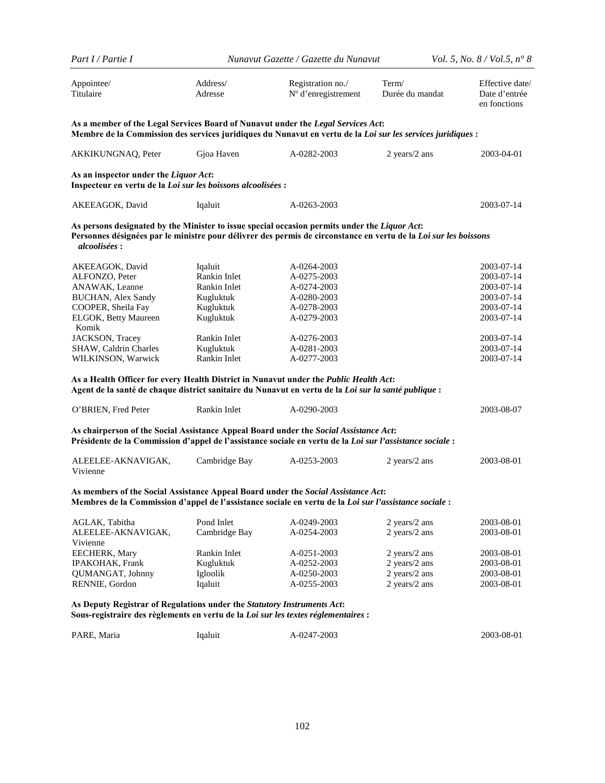| Part I / Partie I                                                                                                                                                                                                                                                                                                                                                                                                                 |                                                                                                                                             | Nunavut Gazette / Gazette du Nunavut                                                                                                               |                                                                  | <i>Vol.</i> 5, <i>No.</i> $8 / Vol. 5$ , $n^{\circ} 8$                                                                                   |  |
|-----------------------------------------------------------------------------------------------------------------------------------------------------------------------------------------------------------------------------------------------------------------------------------------------------------------------------------------------------------------------------------------------------------------------------------|---------------------------------------------------------------------------------------------------------------------------------------------|----------------------------------------------------------------------------------------------------------------------------------------------------|------------------------------------------------------------------|------------------------------------------------------------------------------------------------------------------------------------------|--|
| Appointee/<br>Titulaire                                                                                                                                                                                                                                                                                                                                                                                                           | Address/<br>Adresse                                                                                                                         | Registration no./<br>N° d'enregistrement                                                                                                           | Term/<br>Durée du mandat                                         | Effective date/<br>Date d'entrée<br>en fonctions                                                                                         |  |
| As a member of the Legal Services Board of Nunavut under the Legal Services Act:<br>Membre de la Commission des services juridiques du Nunavut en vertu de la Loi sur les services juridiques :                                                                                                                                                                                                                                   |                                                                                                                                             |                                                                                                                                                    |                                                                  |                                                                                                                                          |  |
| AKKIKUNGNAQ, Peter                                                                                                                                                                                                                                                                                                                                                                                                                | Gjoa Haven                                                                                                                                  | A-0282-2003                                                                                                                                        | 2 years/2 ans                                                    | 2003-04-01                                                                                                                               |  |
| As an inspector under the Liquor Act:<br>Inspecteur en vertu de la Loi sur les boissons alcoolisées :                                                                                                                                                                                                                                                                                                                             |                                                                                                                                             |                                                                                                                                                    |                                                                  |                                                                                                                                          |  |
| AKEEAGOK, David                                                                                                                                                                                                                                                                                                                                                                                                                   | Iqaluit                                                                                                                                     | A-0263-2003                                                                                                                                        |                                                                  | 2003-07-14                                                                                                                               |  |
| As persons designated by the Minister to issue special occasion permits under the Liquor Act:<br>Personnes désignées par le ministre pour délivrer des permis de circonstance en vertu de la Loi sur les boissons<br><i>alcoolisées:</i>                                                                                                                                                                                          |                                                                                                                                             |                                                                                                                                                    |                                                                  |                                                                                                                                          |  |
| AKEEAGOK, David<br>ALFONZO, Peter<br>ANAWAK, Leanne<br><b>BUCHAN, Alex Sandy</b><br>COOPER, Sheila Fay<br>ELGOK, Betty Maureen<br>Komik<br>JACKSON, Tracey<br>SHAW, Caldrin Charles<br>WILKINSON, Warwick<br>As a Health Officer for every Health District in Nunavut under the Public Health Act:<br>: Agent de la santé de chaque district sanitaire du Nunavut en vertu de la Loi sur la santé publique<br>O'BRIEN, Fred Peter | Iqaluit<br>Rankin Inlet<br>Rankin Inlet<br>Kugluktuk<br>Kugluktuk<br>Kugluktuk<br>Rankin Inlet<br>Kugluktuk<br>Rankin Inlet<br>Rankin Inlet | A-0264-2003<br>A-0275-2003<br>A-0274-2003<br>A-0280-2003<br>A-0278-2003<br>A-0279-2003<br>A-0276-2003<br>A-0281-2003<br>A-0277-2003<br>A-0290-2003 |                                                                  | 2003-07-14<br>2003-07-14<br>2003-07-14<br>2003-07-14<br>2003-07-14<br>2003-07-14<br>2003-07-14<br>2003-07-14<br>2003-07-14<br>2003-08-07 |  |
| As chairperson of the Social Assistance Appeal Board under the Social Assistance Act:<br>Présidente de la Commission d'appel de l'assistance sociale en vertu de la Loi sur l'assistance sociale :                                                                                                                                                                                                                                |                                                                                                                                             |                                                                                                                                                    |                                                                  |                                                                                                                                          |  |
| ALEELEE-AKNAVIGAK,<br>Vivienne                                                                                                                                                                                                                                                                                                                                                                                                    | Cambridge Bay                                                                                                                               | A-0253-2003                                                                                                                                        | 2 years/2 ans                                                    | 2003-08-01                                                                                                                               |  |
| As members of the Social Assistance Appeal Board under the Social Assistance Act:<br>Membres de la Commission d'appel de l'assistance sociale en vertu de la Loi sur l'assistance sociale :                                                                                                                                                                                                                                       |                                                                                                                                             |                                                                                                                                                    |                                                                  |                                                                                                                                          |  |
| AGLAK, Tabitha<br>ALEELEE-AKNAVIGAK,<br>Vivienne                                                                                                                                                                                                                                                                                                                                                                                  | Pond Inlet<br>Cambridge Bay                                                                                                                 | A-0249-2003<br>A-0254-2003                                                                                                                         | 2 years/2 ans<br>2 years/2 ans                                   | 2003-08-01<br>2003-08-01                                                                                                                 |  |
| EECHERK, Mary<br><b>IPAKOHAK, Frank</b><br><b>QUMANGAT, Johnny</b><br>RENNIE, Gordon                                                                                                                                                                                                                                                                                                                                              | Rankin Inlet<br>Kugluktuk<br>Igloolik<br>Iqaluit                                                                                            | A-0251-2003<br>A-0252-2003<br>A-0250-2003<br>A-0255-2003                                                                                           | 2 years/2 ans<br>2 years/2 ans<br>2 years/2 ans<br>2 years/2 ans | 2003-08-01<br>2003-08-01<br>2003-08-01<br>2003-08-01                                                                                     |  |
| As Deputy Registrar of Regulations under the Statutory Instruments Act:                                                                                                                                                                                                                                                                                                                                                           |                                                                                                                                             |                                                                                                                                                    |                                                                  |                                                                                                                                          |  |

**Sous-registraire des règlements en vertu de la** *Loi sur les textes réglementaires* **:** 

| PARE. Maria | Igaluit | A-0247-2003 | 2003-08-01 |
|-------------|---------|-------------|------------|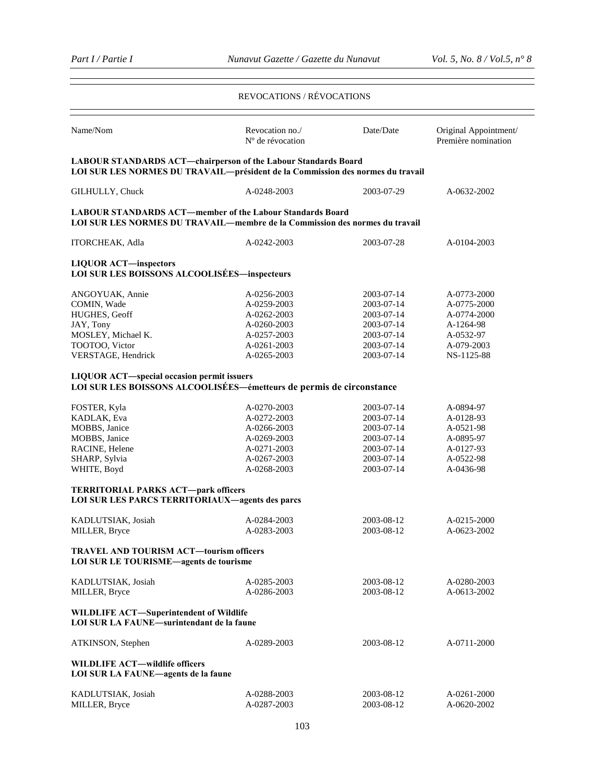### REVOCATIONS / RÉVOCATIONS

| Name/Nom                                                                                                                                         | Revocation no./<br>N° de révocation | Date/Date  | Original Appointment/<br>Première nomination |  |  |  |
|--------------------------------------------------------------------------------------------------------------------------------------------------|-------------------------------------|------------|----------------------------------------------|--|--|--|
| LABOUR STANDARDS ACT-chairperson of the Labour Standards Board<br>LOI SUR LES NORMES DU TRAVAIL-président de la Commission des normes du travail |                                     |            |                                              |  |  |  |
| GILHULLY, Chuck                                                                                                                                  | A-0248-2003                         | 2003-07-29 | A-0632-2002                                  |  |  |  |
| <b>LABOUR STANDARDS ACT—member of the Labour Standards Board</b><br>LOI SUR LES NORMES DU TRAVAIL—membre de la Commission des normes du travail  |                                     |            |                                              |  |  |  |
| <b>ITORCHEAK, Adla</b>                                                                                                                           | A-0242-2003                         | 2003-07-28 | A-0104-2003                                  |  |  |  |
| <b>LIQUOR ACT-inspectors</b><br>LOI SUR LES BOISSONS ALCOOLISÉES-inspecteurs                                                                     |                                     |            |                                              |  |  |  |
|                                                                                                                                                  |                                     |            |                                              |  |  |  |
| ANGOYUAK, Annie                                                                                                                                  | A-0256-2003                         | 2003-07-14 | A-0773-2000                                  |  |  |  |
| COMIN, Wade                                                                                                                                      | A-0259-2003                         | 2003-07-14 | A-0775-2000                                  |  |  |  |
| HUGHES, Geoff                                                                                                                                    | A-0262-2003                         | 2003-07-14 | A-0774-2000                                  |  |  |  |
| JAY, Tony                                                                                                                                        | A-0260-2003                         | 2003-07-14 | A-1264-98                                    |  |  |  |
| MOSLEY, Michael K.                                                                                                                               | A-0257-2003                         | 2003-07-14 | A-0532-97                                    |  |  |  |
| TOOTOO, Victor                                                                                                                                   | A-0261-2003                         | 2003-07-14 | A-079-2003                                   |  |  |  |
| VERSTAGE, Hendrick                                                                                                                               | A-0265-2003                         | 2003-07-14 | NS-1125-88                                   |  |  |  |
| <b>LIQUOR ACT-special occasion permit issuers</b>                                                                                                |                                     |            |                                              |  |  |  |
| LOI SUR LES BOISSONS ALCOOLISÉES—émetteurs de permis de circonstance                                                                             |                                     |            |                                              |  |  |  |
|                                                                                                                                                  | A-0270-2003                         | 2003-07-14 | A-0894-97                                    |  |  |  |
| FOSTER, Kyla                                                                                                                                     | A-0272-2003                         | 2003-07-14 | A-0128-93                                    |  |  |  |
| KADLAK, Eva                                                                                                                                      |                                     |            |                                              |  |  |  |
| MOBBS, Janice                                                                                                                                    | A-0266-2003                         | 2003-07-14 | A-0521-98                                    |  |  |  |
| MOBBS, Janice                                                                                                                                    | A-0269-2003                         | 2003-07-14 | A-0895-97                                    |  |  |  |
| RACINE, Helene                                                                                                                                   | A-0271-2003                         | 2003-07-14 | A-0127-93                                    |  |  |  |
| SHARP, Sylvia                                                                                                                                    | A-0267-2003                         | 2003-07-14 | A-0522-98                                    |  |  |  |
| WHITE, Boyd                                                                                                                                      | A-0268-2003                         | 2003-07-14 | A-0436-98                                    |  |  |  |
| TERRITORIAL PARKS ACT-park officers<br><b>LOI SUR LES PARCS TERRITORIAUX—agents des parcs</b>                                                    |                                     |            |                                              |  |  |  |
| KADLUTSIAK, Josiah                                                                                                                               | A-0284-2003                         | 2003-08-12 | A-0215-2000                                  |  |  |  |
| MILLER, Bryce                                                                                                                                    | A-0283-2003                         | 2003-08-12 | A-0623-2002                                  |  |  |  |
| <b>TRAVEL AND TOURISM ACT-tourism officers</b><br>LOI SUR LE TOURISME-agents de tourisme                                                         |                                     |            |                                              |  |  |  |
| KADLUTSIAK, Josiah                                                                                                                               | A-0285-2003                         | 2003-08-12 | A-0280-2003                                  |  |  |  |
|                                                                                                                                                  | A-0286-2003                         | 2003-08-12 |                                              |  |  |  |
| MILLER, Bryce                                                                                                                                    |                                     |            | A-0613-2002                                  |  |  |  |
| <b>WILDLIFE ACT-Superintendent of Wildlife</b><br>LOI SUR LA FAUNE-surintendant de la faune                                                      |                                     |            |                                              |  |  |  |
| ATKINSON, Stephen                                                                                                                                | A-0289-2003                         | 2003-08-12 | A-0711-2000                                  |  |  |  |
| <b>WILDLIFE ACT-wildlife officers</b><br>LOI SUR LA FAUNE-agents de la faune                                                                     |                                     |            |                                              |  |  |  |
| KADLUTSIAK, Josiah                                                                                                                               | A-0288-2003                         | 2003-08-12 |                                              |  |  |  |
|                                                                                                                                                  |                                     |            | A-0261-2000                                  |  |  |  |
| MILLER, Bryce                                                                                                                                    | A-0287-2003                         | 2003-08-12 | A-0620-2002                                  |  |  |  |
|                                                                                                                                                  |                                     |            |                                              |  |  |  |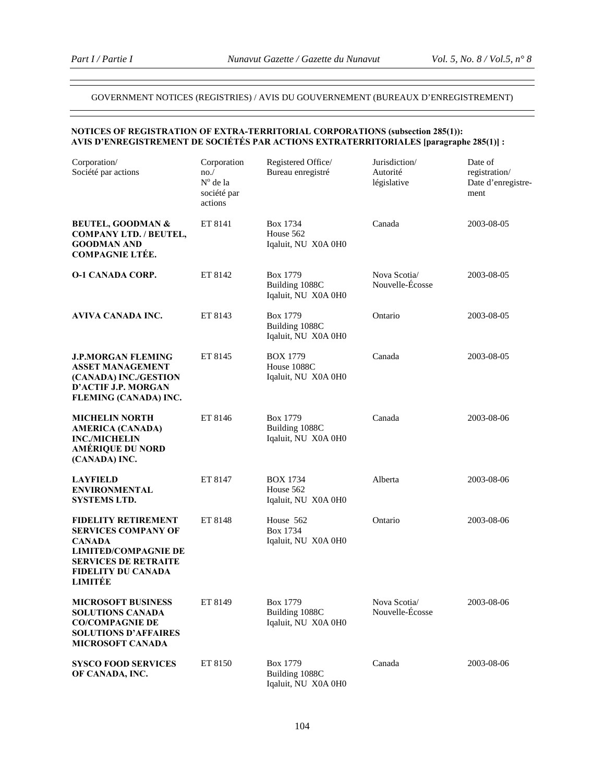## GOVERNMENT NOTICES (REGISTRIES) / AVIS DU GOUVERNEMENT (BUREAUX D'ENREGISTREMENT)

### **NOTICES OF REGISTRATION OF EXTRA-TERRITORIAL CORPORATIONS (subsection 285(1)): AVIS D'ENREGISTREMENT DE SOCIÉTÉS PAR ACTIONS EXTRATERRITORIALES [paragraphe 285(1)] :**

| Corporation/<br>Société par actions                                                                                                                                             | Corporation<br>no.<br>$No$ de la<br>société par<br>actions | Registered Office/<br>Bureau enregistré               | Jurisdiction/<br>Autorité<br>législative | Date of<br>registration/<br>Date d'enregistre-<br>ment |
|---------------------------------------------------------------------------------------------------------------------------------------------------------------------------------|------------------------------------------------------------|-------------------------------------------------------|------------------------------------------|--------------------------------------------------------|
| <b>BEUTEL, GOODMAN &amp;</b><br><b>COMPANY LTD. / BEUTEL,</b><br><b>GOODMAN AND</b><br><b>COMPAGNIE LTÉE.</b>                                                                   | ET 8141                                                    | Box 1734<br>House 562<br>Iqaluit, NU X0A 0H0          | Canada                                   | 2003-08-05                                             |
| <b>O-1 CANADA CORP.</b>                                                                                                                                                         | ET 8142                                                    | Box 1779<br>Building 1088C<br>Iqaluit, NU X0A 0H0     | Nova Scotia/<br>Nouvelle-Écosse          | 2003-08-05                                             |
| AVIVA CANADA INC.                                                                                                                                                               | ET 8143                                                    | Box 1779<br>Building 1088C<br>Iqaluit, NU X0A 0H0     | Ontario                                  | 2003-08-05                                             |
| <b>J.P.MORGAN FLEMING</b><br><b>ASSET MANAGEMENT</b><br>(CANADA) INC./GESTION<br>D'ACTIF J.P. MORGAN<br>FLEMING (CANADA) INC.                                                   | ET 8145                                                    | <b>BOX 1779</b><br>House 1088C<br>Iqaluit, NU X0A 0H0 | Canada                                   | 2003-08-05                                             |
| <b>MICHELIN NORTH</b><br><b>AMERICA (CANADA)</b><br><b>INC./MICHELIN</b><br><b>AMÉRIQUE DU NORD</b><br>(CANADA) INC.                                                            | ET 8146                                                    | Box 1779<br>Building 1088C<br>Iqaluit, NU X0A 0H0     | Canada                                   | 2003-08-06                                             |
| <b>LAYFIELD</b><br><b>ENVIRONMENTAL</b><br><b>SYSTEMS LTD.</b>                                                                                                                  | ET 8147                                                    | <b>BOX 1734</b><br>House 562<br>Iqaluit, NU X0A 0H0   | Alberta                                  | 2003-08-06                                             |
| <b>FIDELITY RETIREMENT</b><br><b>SERVICES COMPANY OF</b><br><b>CANADA</b><br><b>LIMITED/COMPAGNIE DE</b><br><b>SERVICES DE RETRAITE</b><br><b>FIDELITY DU CANADA</b><br>LIMITÉE | ET 8148                                                    | House 562<br>Box 1734<br>Iqaluit, NU X0A 0H0          | Ontario                                  | 2003-08-06                                             |
| <b>MICROSOFT BUSINESS</b><br><b>SOLUTIONS CANADA</b><br><b>CO/COMPAGNIE DE</b><br><b>SOLUTIONS D'AFFAIRES</b><br><b>MICROSOFT CANADA</b>                                        | ET 8149                                                    | Box 1779<br>Building 1088C<br>Iqaluit, NU X0A 0H0     | Nova Scotia/<br>Nouvelle-Écosse          | 2003-08-06                                             |
| <b>SYSCO FOOD SERVICES</b><br>OF CANADA, INC.                                                                                                                                   | ET 8150                                                    | Box 1779<br>Building 1088C<br>Iqaluit, NU X0A 0H0     | Canada                                   | 2003-08-06                                             |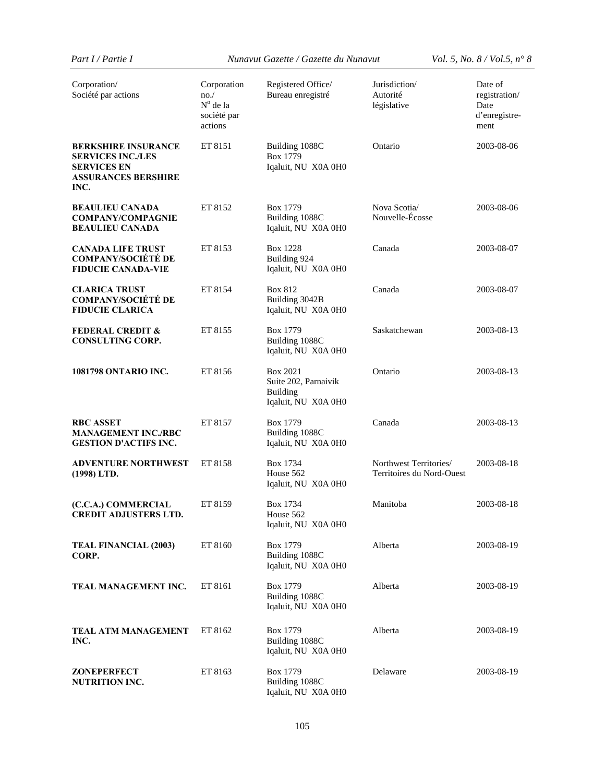*Part I / Partie I Nunavut Gazette / Gazette du Nunavut Vol. 5, No. 8 / Vol.5, n° 8* 

| Corporation/<br>Société par actions                                                                                | Corporation<br>no.<br>N° de la<br>société par<br>actions | Registered Office/<br>Bureau enregistré                                    | Jurisdiction/<br>Autorité<br>législative            | Date of<br>registration/<br>Date<br>d'enregistre-<br>ment |
|--------------------------------------------------------------------------------------------------------------------|----------------------------------------------------------|----------------------------------------------------------------------------|-----------------------------------------------------|-----------------------------------------------------------|
| <b>BERKSHIRE INSURANCE</b><br><b>SERVICES INC./LES</b><br><b>SERVICES EN</b><br><b>ASSURANCES BERSHIRE</b><br>INC. | ET 8151                                                  | Building 1088C<br>Box 1779<br>Iqaluit, NU X0A 0H0                          | Ontario                                             | 2003-08-06                                                |
| <b>BEAULIEU CANADA</b><br><b>COMPANY/COMPAGNIE</b><br><b>BEAULIEU CANADA</b>                                       | ET 8152                                                  | Box 1779<br>Building 1088C<br>Iqaluit, NU X0A 0H0                          | Nova Scotia/<br>Nouvelle-Écosse                     | 2003-08-06                                                |
| <b>CANADA LIFE TRUST</b><br><b>COMPANY/SOCIÉTÉ DE</b><br><b>FIDUCIE CANADA-VIE</b>                                 | ET 8153                                                  | <b>Box 1228</b><br>Building 924<br>Iqaluit, NU X0A 0H0                     | Canada                                              | 2003-08-07                                                |
| <b>CLARICA TRUST</b><br><b>COMPANY/SOCIÉTÉ DE</b><br><b>FIDUCIE CLARICA</b>                                        | ET 8154                                                  | Box 812<br>Building 3042B<br>Iqaluit, NU X0A 0H0                           | Canada                                              | 2003-08-07                                                |
| <b>FEDERAL CREDIT &amp;</b><br><b>CONSULTING CORP.</b>                                                             | ET 8155                                                  | Box 1779<br>Building 1088C<br>Iqaluit, NU X0A 0H0                          | Saskatchewan                                        | 2003-08-13                                                |
| <b>1081798 ONTARIO INC.</b>                                                                                        | ET 8156                                                  | Box 2021<br>Suite 202, Parnaivik<br><b>Building</b><br>Iqaluit, NU X0A 0H0 | Ontario                                             | 2003-08-13                                                |
| <b>RBC ASSET</b><br><b>MANAGEMENT INC./RBC</b><br><b>GESTION D'ACTIFS INC.</b>                                     | ET 8157                                                  | Box 1779<br>Building 1088C<br>Iqaluit, NU X0A 0H0                          | Canada                                              | 2003-08-13                                                |
| <b>ADVENTURE NORTHWEST</b><br>(1998) LTD.                                                                          | ET 8158                                                  | Box 1734<br>House 562<br>Iqaluit, NU X0A 0H0                               | Northwest Territories/<br>Territoires du Nord-Ouest | 2003-08-18                                                |
| (C.C.A.) COMMERCIAL<br><b>CREDIT ADJUSTERS LTD.</b>                                                                | ET 8159                                                  | <b>Box 1734</b><br>House 562<br>Iqaluit, NU X0A 0H0                        | Manitoba                                            | 2003-08-18                                                |
| <b>TEAL FINANCIAL (2003)</b><br>CORP.                                                                              | ET 8160                                                  | Box 1779<br>Building 1088C<br>Iqaluit, NU X0A 0H0                          | Alberta                                             | 2003-08-19                                                |
| TEAL MANAGEMENT INC.                                                                                               | ET 8161                                                  | Box 1779<br>Building 1088C<br>Iqaluit, NU X0A 0H0                          | Alberta                                             | 2003-08-19                                                |
| <b>TEAL ATM MANAGEMENT</b><br>INC.                                                                                 | ET 8162                                                  | Box 1779<br>Building 1088C<br>Iqaluit, NU X0A 0H0                          | Alberta                                             | 2003-08-19                                                |
| <b>ZONEPERFECT</b><br>NUTRITION INC.                                                                               | ET 8163                                                  | Box 1779<br>Building 1088C<br>Iqaluit, NU X0A 0H0                          | Delaware                                            | 2003-08-19                                                |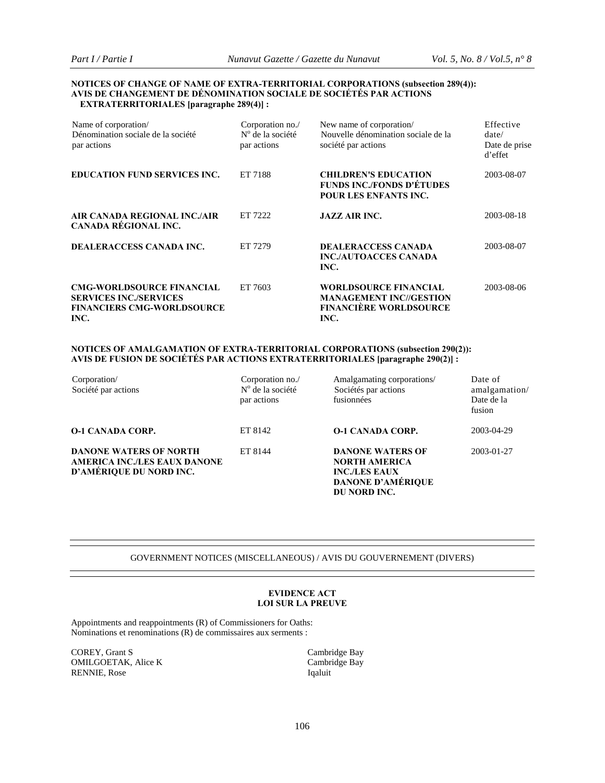#### **NOTICES OF CHANGE OF NAME OF EXTRA-TERRITORIAL CORPORATIONS (subsection 289(4)): AVIS DE CHANGEMENT DE DÉNOMINATION SOCIALE DE SOCIÉTÉS PAR ACTIONS EXTRATERRITORIALES [paragraphe 289(4)] :**

| Name of corporation/<br>Dénomination sociale de la société<br>par actions                                      | Corporation no./<br>$No$ de la société<br>par actions | New name of corporation/<br>Nouvelle dénomination sociale de la<br>société par actions                  | Effective<br>date/<br>Date de prise<br>d'effet |
|----------------------------------------------------------------------------------------------------------------|-------------------------------------------------------|---------------------------------------------------------------------------------------------------------|------------------------------------------------|
| <b>EDUCATION FUND SERVICES INC.</b>                                                                            | ET 7188                                               | <b>CHILDREN'S EDUCATION</b><br><b>FUNDS INC./FONDS D'ÉTUDES</b><br><b>POUR LES ENFANTS INC.</b>         | 2003-08-07                                     |
| AIR CANADA REGIONAL INC./AIR<br>CANADA RÉGIONAL INC.                                                           | ET 7222                                               | <b>JAZZ AIR INC.</b>                                                                                    | 2003-08-18                                     |
| DEALERACCESS CANADA INC.                                                                                       | ET 7279                                               | <b>DEALERACCESS CANADA</b><br><b>INC./AUTOACCES CANADA</b><br>INC.                                      | 2003-08-07                                     |
| <b>CMG-WORLDSOURCE FINANCIAL</b><br><b>SERVICES INC./SERVICES</b><br><b>FINANCIERS CMG-WORLDSOURCE</b><br>INC. | ET 7603                                               | <b>WORLDSOURCE FINANCIAL</b><br><b>MANAGEMENT INC//GESTION</b><br><b>FINANCIÈRE WORLDSOURCE</b><br>INC. | 2003-08-06                                     |

#### **NOTICES OF AMALGAMATION OF EXTRA-TERRITORIAL CORPORATIONS (subsection 290(2)): AVIS DE FUSION DE SOCIÉTÉS PAR ACTIONS EXTRATERRITORIALES [paragraphe 290(2)] :**

| Corporation/<br>Société par actions                                                      | Corporation no./<br>$No$ de la société<br>par actions | Amalgamating corporations/<br>Sociétés par actions<br>fusionnées                                                    | Date of<br>amalgamation/<br>Date de la<br>fusion |
|------------------------------------------------------------------------------------------|-------------------------------------------------------|---------------------------------------------------------------------------------------------------------------------|--------------------------------------------------|
| <b>O-1 CANADA CORP.</b>                                                                  | ET 8142                                               | <b>O-1 CANADA CORP.</b>                                                                                             | 2003-04-29                                       |
| <b>DANONE WATERS OF NORTH</b><br>AMERICA INC./LES EAUX DANONE<br>D'AMÉRIQUE DU NORD INC. | ET 8144                                               | <b>DANONE WATERS OF</b><br><b>NORTH AMERICA</b><br><b>INC./LES EAUX</b><br><b>DANONE D'AMÉRIQUE</b><br>DU NORD INC. | 2003-01-27                                       |

#### GOVERNMENT NOTICES (MISCELLANEOUS) / AVIS DU GOUVERNEMENT (DIVERS)

#### **EVIDENCE ACT LOI SUR LA PREUVE**

Appointments and reappointments (R) of Commissioners for Oaths: Nominations et renominations (R) de commissaires aux serments :

COREY, Grant S<br>
Cambridge Bay<br>
Cambridge Bay<br>
Cambridge Bay OMILGOETAK, Alice K RENNIE, Rose Iqaluit